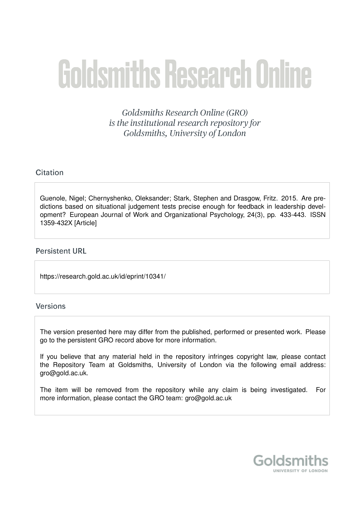# **Goldsmiths Research Online**

Goldsmiths Research Online (GRO) is the institutional research repository for Goldsmiths, University of London

## Citation

Guenole, Nigel; Chernyshenko, Oleksander; Stark, Stephen and Drasgow, Fritz. 2015. Are predictions based on situational judgement tests precise enough for feedback in leadership development? European Journal of Work and Organizational Psychology, 24(3), pp. 433-443. ISSN 1359-432X [Article]

## **Persistent URL**

https://research.gold.ac.uk/id/eprint/10341/

## **Versions**

The version presented here may differ from the published, performed or presented work. Please go to the persistent GRO record above for more information.

If you believe that any material held in the repository infringes copyright law, please contact the Repository Team at Goldsmiths, University of London via the following email address: gro@gold.ac.uk.

The item will be removed from the repository while any claim is being investigated. For more information, please contact the GRO team: gro@gold.ac.uk

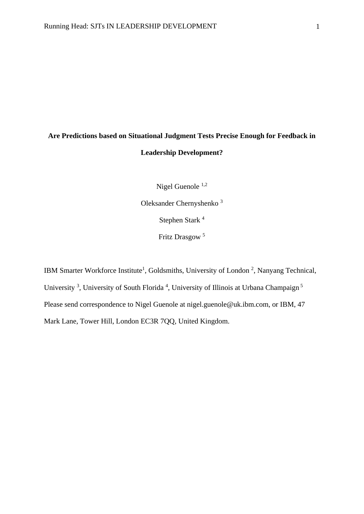# **Are Predictions based on Situational Judgment Tests Precise Enough for Feedback in Leadership Development?**

Nigel Guenole 1,2

Oleksander Chernyshenko <sup>3</sup> Stephen Stark<sup>4</sup>

Fritz Drasgow <sup>5</sup>

IBM Smarter Workforce Institute<sup>1</sup>, Goldsmiths, University of London<sup>2</sup>, Nanyang Technical, University<sup>3</sup>, University of South Florida<sup>4</sup>, University of Illinois at Urbana Champaign<sup>5</sup> Please send correspondence to Nigel Guenole at nigel.guenole@uk.ibm.com, or IBM, 47 Mark Lane, Tower Hill, London EC3R 7QQ, United Kingdom.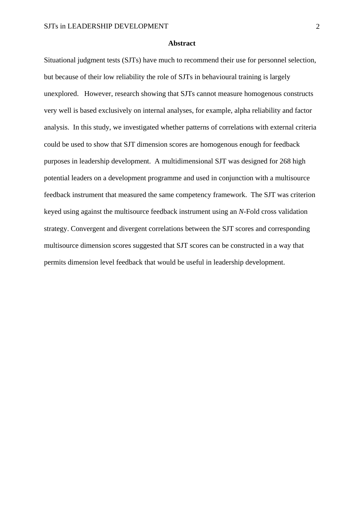## **Abstract**

Situational judgment tests (SJTs) have much to recommend their use for personnel selection, but because of their low reliability the role of SJTs in behavioural training is largely unexplored. However, research showing that SJTs cannot measure homogenous constructs very well is based exclusively on internal analyses, for example, alpha reliability and factor analysis. In this study, we investigated whether patterns of correlations with external criteria could be used to show that SJT dimension scores are homogenous enough for feedback purposes in leadership development. A multidimensional SJT was designed for 268 high potential leaders on a development programme and used in conjunction with a multisource feedback instrument that measured the same competency framework. The SJT was criterion keyed using against the multisource feedback instrument using an *N*-Fold cross validation strategy. Convergent and divergent correlations between the SJT scores and corresponding multisource dimension scores suggested that SJT scores can be constructed in a way that permits dimension level feedback that would be useful in leadership development.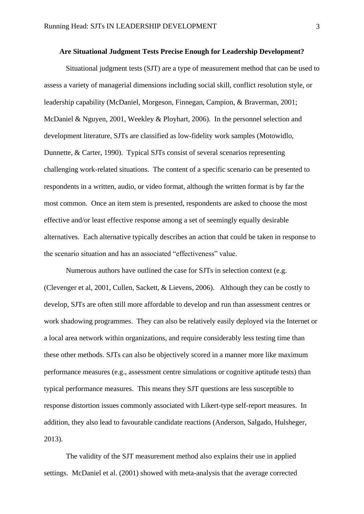## **Are Situational Judgment Tests Precise Enough for Leadership Development?**

Situational judgment tests (SJT) are a type of measurement method that can be used to assess a variety of managerial dimensions including social skill, conflict resolution style, or leadership capability (McDaniel, Morgeson, Finnegan, Campion, & Braverman, 2001; McDaniel & Nguyen, 2001, Weekley & Ployhart, 2006). In the personnel selection and development literature, SJTs are classified as low-fidelity work samples (Motowidlo, Dunnette, & Carter, 1990). Typical SJTs consist of several scenarios representing challenging work-related situations. The content of a specific scenario can be presented to respondents in a written, audio, or video format, although the written format is by far the most common. Once an item stem is presented, respondents are asked to choose the most effective and/or least effective response among a set of seemingly equally desirable alternatives. Each alternative typically describes an action that could be taken in response to the scenario situation and has an associated "effectiveness" value.

Numerous authors have outlined the case for SJTs in selection context (e.g. (Clevenger et al, 2001, Cullen, Sackett, & Lievens, 2006). Although they can be costly to develop, SJTs are often still more affordable to develop and run than assessment centres or work shadowing programmes. They can also be relatively easily deployed via the Internet or a local area network within organizations, and require considerably less testing time than these other methods. SJTs can also be objectively scored in a manner more like maximum performance measures (e.g., assessment centre simulations or cognitive aptitude tests) than typical performance measures. This means they SJT questions are less susceptible to response distortion issues commonly associated with Likert-type self-report measures. In addition, they also lead to favourable candidate reactions (Anderson, Salgado, Hulsheger, 2013).

The validity of the SJT measurement method also explains their use in applied settings. McDaniel et al. (2001) showed with meta-analysis that the average corrected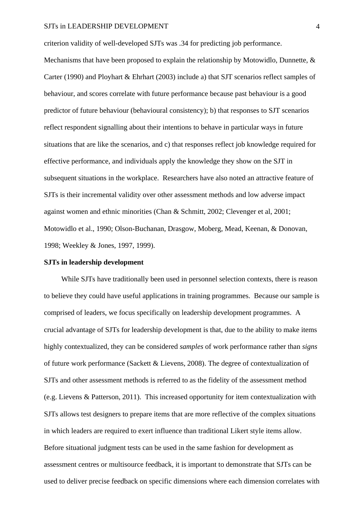## SITs in LEADERSHIP DEVELOPMENT 4

criterion validity of well-developed SJTs was .34 for predicting job performance. Mechanisms that have been proposed to explain the relationship by Motowidlo, Dunnette, & Carter (1990) and Ployhart & Ehrhart (2003) include a) that SJT scenarios reflect samples of behaviour, and scores correlate with future performance because past behaviour is a good predictor of future behaviour (behavioural consistency); b) that responses to SJT scenarios reflect respondent signalling about their intentions to behave in particular ways in future situations that are like the scenarios, and c) that responses reflect job knowledge required for effective performance, and individuals apply the knowledge they show on the SJT in subsequent situations in the workplace. Researchers have also noted an attractive feature of SJTs is their incremental validity over other assessment methods and low adverse impact against women and ethnic minorities (Chan & Schmitt, 2002; Clevenger et al, 2001; Motowidlo et al., 1990; Olson-Buchanan, Drasgow, Moberg, Mead, Keenan, & Donovan,

1998; Weekley & Jones, 1997, 1999).

#### **SJTs in leadership development**

While SJTs have traditionally been used in personnel selection contexts, there is reason to believe they could have useful applications in training programmes. Because our sample is comprised of leaders, we focus specifically on leadership development programmes. A crucial advantage of SJTs for leadership development is that, due to the ability to make items highly contextualized, they can be considered *samples* of work performance rather than *signs* of future work performance (Sackett & Lievens, 2008). The degree of contextualization of SJTs and other assessment methods is referred to as the fidelity of the assessment method (e.g. Lievens & Patterson, 2011). This increased opportunity for item contextualization with SJTs allows test designers to prepare items that are more reflective of the complex situations in which leaders are required to exert influence than traditional Likert style items allow. Before situational judgment tests can be used in the same fashion for development as assessment centres or multisource feedback, it is important to demonstrate that SJTs can be used to deliver precise feedback on specific dimensions where each dimension correlates with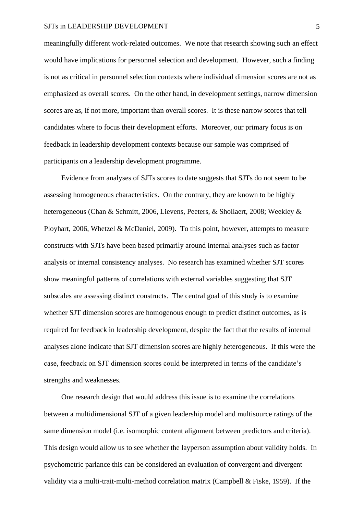meaningfully different work-related outcomes. We note that research showing such an effect would have implications for personnel selection and development. However, such a finding is not as critical in personnel selection contexts where individual dimension scores are not as emphasized as overall scores. On the other hand, in development settings, narrow dimension scores are as, if not more, important than overall scores. It is these narrow scores that tell candidates where to focus their development efforts. Moreover, our primary focus is on feedback in leadership development contexts because our sample was comprised of participants on a leadership development programme.

Evidence from analyses of SJTs scores to date suggests that SJTs do not seem to be assessing homogeneous characteristics. On the contrary, they are known to be highly heterogeneous (Chan & Schmitt, 2006, Lievens, Peeters, & Shollaert, 2008; Weekley & Ployhart, 2006, Whetzel & McDaniel, 2009). To this point, however, attempts to measure constructs with SJTs have been based primarily around internal analyses such as factor analysis or internal consistency analyses. No research has examined whether SJT scores show meaningful patterns of correlations with external variables suggesting that SJT subscales are assessing distinct constructs. The central goal of this study is to examine whether SJT dimension scores are homogenous enough to predict distinct outcomes, as is required for feedback in leadership development, despite the fact that the results of internal analyses alone indicate that SJT dimension scores are highly heterogeneous. If this were the case, feedback on SJT dimension scores could be interpreted in terms of the candidate's strengths and weaknesses.

One research design that would address this issue is to examine the correlations between a multidimensional SJT of a given leadership model and multisource ratings of the same dimension model (i.e. isomorphic content alignment between predictors and criteria). This design would allow us to see whether the layperson assumption about validity holds. In psychometric parlance this can be considered an evaluation of convergent and divergent validity via a multi-trait-multi-method correlation matrix (Campbell & Fiske, 1959). If the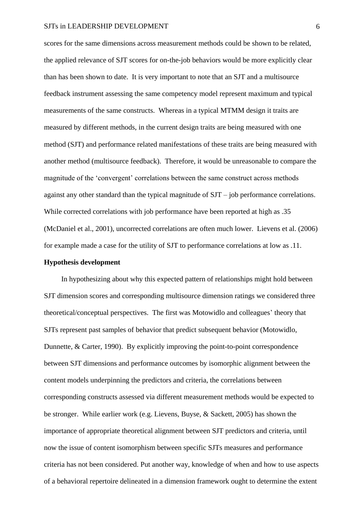### SITs in LEADERSHIP DEVELOPMENT 6

scores for the same dimensions across measurement methods could be shown to be related, the applied relevance of SJT scores for on-the-job behaviors would be more explicitly clear than has been shown to date. It is very important to note that an SJT and a multisource feedback instrument assessing the same competency model represent maximum and typical measurements of the same constructs. Whereas in a typical MTMM design it traits are measured by different methods, in the current design traits are being measured with one method (SJT) and performance related manifestations of these traits are being measured with another method (multisource feedback). Therefore, it would be unreasonable to compare the magnitude of the 'convergent' correlations between the same construct across methods against any other standard than the typical magnitude of SJT – job performance correlations. While corrected correlations with job performance have been reported at high as .35 (McDaniel et al., 2001), uncorrected correlations are often much lower. Lievens et al. (2006) for example made a case for the utility of SJT to performance correlations at low as .11.

#### **Hypothesis development**

In hypothesizing about why this expected pattern of relationships might hold between SJT dimension scores and corresponding multisource dimension ratings we considered three theoretical/conceptual perspectives. The first was Motowidlo and colleagues' theory that SJTs represent past samples of behavior that predict subsequent behavior (Motowidlo, Dunnette, & Carter, 1990). By explicitly improving the point-to-point correspondence between SJT dimensions and performance outcomes by isomorphic alignment between the content models underpinning the predictors and criteria, the correlations between corresponding constructs assessed via different measurement methods would be expected to be stronger. While earlier work (e.g. Lievens, Buyse, & Sackett, 2005) has shown the importance of appropriate theoretical alignment between SJT predictors and criteria, until now the issue of content isomorphism between specific SJTs measures and performance criteria has not been considered. Put another way, knowledge of when and how to use aspects of a behavioral repertoire delineated in a dimension framework ought to determine the extent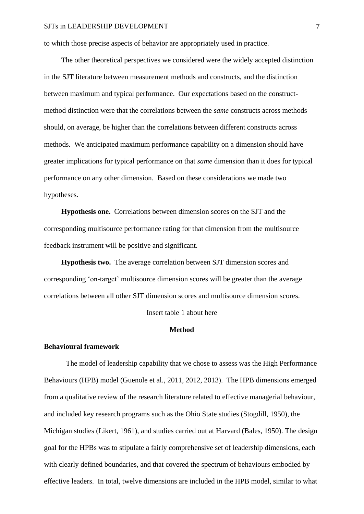to which those precise aspects of behavior are appropriately used in practice.

The other theoretical perspectives we considered were the widely accepted distinction in the SJT literature between measurement methods and constructs, and the distinction between maximum and typical performance. Our expectations based on the constructmethod distinction were that the correlations between the *same* constructs across methods should, on average, be higher than the correlations between different constructs across methods. We anticipated maximum performance capability on a dimension should have greater implications for typical performance on that *same* dimension than it does for typical performance on any other dimension. Based on these considerations we made two hypotheses.

**Hypothesis one.** Correlations between dimension scores on the SJT and the corresponding multisource performance rating for that dimension from the multisource feedback instrument will be positive and significant.

**Hypothesis two.** The average correlation between SJT dimension scores and corresponding 'on-target' multisource dimension scores will be greater than the average correlations between all other SJT dimension scores and multisource dimension scores.

Insert table 1 about here

## **Method**

## **Behavioural framework**

The model of leadership capability that we chose to assess was the High Performance Behaviours (HPB) model (Guenole et al., 2011, 2012, 2013). The HPB dimensions emerged from a qualitative review of the research literature related to effective managerial behaviour, and included key research programs such as the Ohio State studies (Stogdill, 1950), the Michigan studies (Likert, 1961), and studies carried out at Harvard (Bales, 1950). The design goal for the HPBs was to stipulate a fairly comprehensive set of leadership dimensions, each with clearly defined boundaries, and that covered the spectrum of behaviours embodied by effective leaders. In total, twelve dimensions are included in the HPB model, similar to what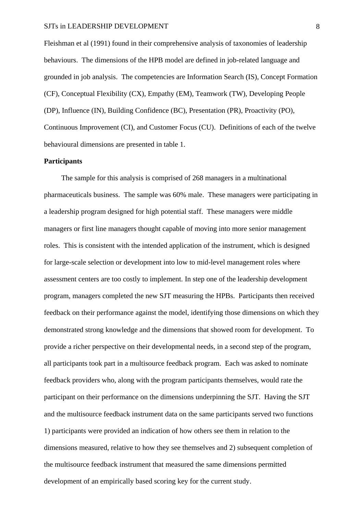## SJTs in LEADERSHIP DEVELOPMENT 8

Fleishman et al (1991) found in their comprehensive analysis of taxonomies of leadership behaviours. The dimensions of the HPB model are defined in job-related language and grounded in job analysis. The competencies are Information Search (IS), Concept Formation (CF), Conceptual Flexibility (CX), Empathy (EM), Teamwork (TW), Developing People (DP), Influence (IN), Building Confidence (BC), Presentation (PR), Proactivity (PO), Continuous Improvement (CI), and Customer Focus (CU). Definitions of each of the twelve behavioural dimensions are presented in table 1.

## **Participants**

The sample for this analysis is comprised of 268 managers in a multinational pharmaceuticals business. The sample was 60% male. These managers were participating in a leadership program designed for high potential staff. These managers were middle managers or first line managers thought capable of moving into more senior management roles. This is consistent with the intended application of the instrument, which is designed for large-scale selection or development into low to mid-level management roles where assessment centers are too costly to implement. In step one of the leadership development program, managers completed the new SJT measuring the HPBs. Participants then received feedback on their performance against the model, identifying those dimensions on which they demonstrated strong knowledge and the dimensions that showed room for development. To provide a richer perspective on their developmental needs, in a second step of the program, all participants took part in a multisource feedback program. Each was asked to nominate feedback providers who, along with the program participants themselves, would rate the participant on their performance on the dimensions underpinning the SJT. Having the SJT and the multisource feedback instrument data on the same participants served two functions 1) participants were provided an indication of how others see them in relation to the dimensions measured, relative to how they see themselves and 2) subsequent completion of the multisource feedback instrument that measured the same dimensions permitted development of an empirically based scoring key for the current study.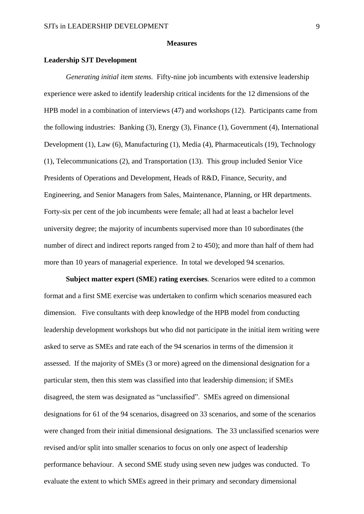## **Measures**

## **Leadership SJT Development**

*Generating initial item stems.* Fifty-nine job incumbents with extensive leadership experience were asked to identify leadership critical incidents for the 12 dimensions of the HPB model in a combination of interviews (47) and workshops (12). Participants came from the following industries: Banking (3), Energy (3), Finance (1), Government (4), International Development (1), Law (6), Manufacturing (1), Media (4), Pharmaceuticals (19), Technology (1), Telecommunications (2), and Transportation (13). This group included Senior Vice Presidents of Operations and Development, Heads of R&D, Finance, Security, and Engineering, and Senior Managers from Sales, Maintenance, Planning, or HR departments. Forty-six per cent of the job incumbents were female; all had at least a bachelor level university degree; the majority of incumbents supervised more than 10 subordinates (the number of direct and indirect reports ranged from 2 to 450); and more than half of them had more than 10 years of managerial experience. In total we developed 94 scenarios.

**Subject matter expert (SME) rating exercises***.* Scenarios were edited to a common format and a first SME exercise was undertaken to confirm which scenarios measured each dimension. Five consultants with deep knowledge of the HPB model from conducting leadership development workshops but who did not participate in the initial item writing were asked to serve as SMEs and rate each of the 94 scenarios in terms of the dimension it assessed. If the majority of SMEs (3 or more) agreed on the dimensional designation for a particular stem, then this stem was classified into that leadership dimension; if SMEs disagreed, the stem was designated as "unclassified". SMEs agreed on dimensional designations for 61 of the 94 scenarios, disagreed on 33 scenarios, and some of the scenarios were changed from their initial dimensional designations. The 33 unclassified scenarios were revised and/or split into smaller scenarios to focus on only one aspect of leadership performance behaviour. A second SME study using seven new judges was conducted. To evaluate the extent to which SMEs agreed in their primary and secondary dimensional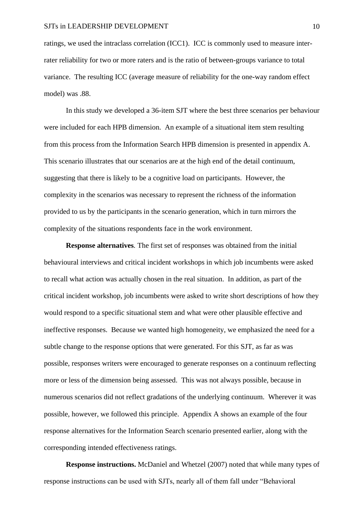ratings, we used the intraclass correlation (ICC1). ICC is commonly used to measure interrater reliability for two or more raters and is the ratio of between-groups variance to total variance. The resulting ICC (average measure of reliability for the one-way random effect model) was .88.

In this study we developed a 36-item SJT where the best three scenarios per behaviour were included for each HPB dimension. An example of a situational item stem resulting from this process from the Information Search HPB dimension is presented in appendix A. This scenario illustrates that our scenarios are at the high end of the detail continuum, suggesting that there is likely to be a cognitive load on participants. However, the complexity in the scenarios was necessary to represent the richness of the information provided to us by the participants in the scenario generation, which in turn mirrors the complexity of the situations respondents face in the work environment.

**Response alternatives***.* The first set of responses was obtained from the initial behavioural interviews and critical incident workshops in which job incumbents were asked to recall what action was actually chosen in the real situation. In addition, as part of the critical incident workshop, job incumbents were asked to write short descriptions of how they would respond to a specific situational stem and what were other plausible effective and ineffective responses. Because we wanted high homogeneity, we emphasized the need for a subtle change to the response options that were generated. For this SJT, as far as was possible, responses writers were encouraged to generate responses on a continuum reflecting more or less of the dimension being assessed. This was not always possible, because in numerous scenarios did not reflect gradations of the underlying continuum. Wherever it was possible, however, we followed this principle. Appendix A shows an example of the four response alternatives for the Information Search scenario presented earlier, along with the corresponding intended effectiveness ratings.

**Response instructions.** McDaniel and Whetzel (2007) noted that while many types of response instructions can be used with SJTs, nearly all of them fall under "Behavioral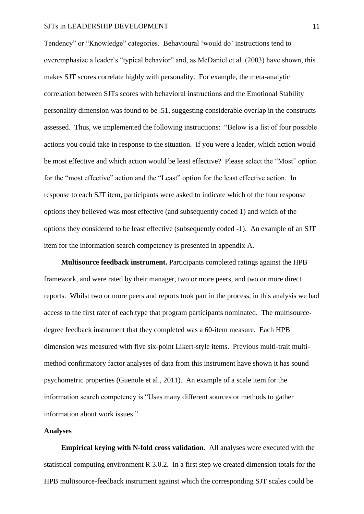## SITs in LEADERSHIP DEVELOPMENT 11

Tendency" or "Knowledge" categories. Behavioural 'would do' instructions tend to overemphasize a leader's "typical behavior" and, as McDaniel et al. (2003) have shown, this makes SJT scores correlate highly with personality. For example, the meta-analytic correlation between SJTs scores with behavioral instructions and the Emotional Stability personality dimension was found to be .51, suggesting considerable overlap in the constructs assessed. Thus, we implemented the following instructions: "Below is a list of four possible actions you could take in response to the situation. If you were a leader, which action would be most effective and which action would be least effective? Please select the "Most" option for the "most effective" action and the "Least" option for the least effective action. In response to each SJT item, participants were asked to indicate which of the four response options they believed was most effective (and subsequently coded 1) and which of the options they considered to be least effective (subsequently coded -1). An example of an SJT item for the information search competency is presented in appendix A.

**Multisource feedback instrument.** Participants completed ratings against the HPB framework, and were rated by their manager, two or more peers, and two or more direct reports. Whilst two or more peers and reports took part in the process, in this analysis we had access to the first rater of each type that program participants nominated. The multisourcedegree feedback instrument that they completed was a 60-item measure. Each HPB dimension was measured with five six-point Likert-style items. Previous multi-trait multimethod confirmatory factor analyses of data from this instrument have shown it has sound psychometric properties (Guenole et al., 2011). An example of a scale item for the information search competency is "Uses many different sources or methods to gather information about work issues."

## **Analyses**

**Empirical keying with N-fold cross validation***.* All analyses were executed with the statistical computing environment R 3.0.2. In a first step we created dimension totals for the HPB multisource-feedback instrument against which the corresponding SJT scales could be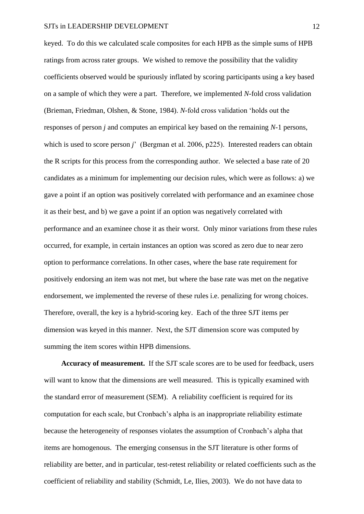keyed. To do this we calculated scale composites for each HPB as the simple sums of HPB ratings from across rater groups. We wished to remove the possibility that the validity coefficients observed would be spuriously inflated by scoring participants using a key based on a sample of which they were a part. Therefore, we implemented *N*-fold cross validation (Brieman, Friedman, Olshen, & Stone, 1984). *N*-fold cross validation 'holds out the responses of person *j* and computes an empirical key based on the remaining *N*-1 persons, which is used to score person *j*' (Bergman et al. 2006, p225). Interested readers can obtain the R scripts for this process from the corresponding author. We selected a base rate of 20 candidates as a minimum for implementing our decision rules, which were as follows: a) we gave a point if an option was positively correlated with performance and an examinee chose it as their best, and b) we gave a point if an option was negatively correlated with performance and an examinee chose it as their worst. Only minor variations from these rules occurred, for example, in certain instances an option was scored as zero due to near zero option to performance correlations. In other cases, where the base rate requirement for positively endorsing an item was not met, but where the base rate was met on the negative endorsement, we implemented the reverse of these rules i.e. penalizing for wrong choices. Therefore, overall, the key is a hybrid-scoring key. Each of the three SJT items per dimension was keyed in this manner. Next, the SJT dimension score was computed by summing the item scores within HPB dimensions.

**Accuracy of measurement.** If the SJT scale scores are to be used for feedback, users will want to know that the dimensions are well measured. This is typically examined with the standard error of measurement (SEM). A reliability coefficient is required for its computation for each scale, but Cronbach's alpha is an inappropriate reliability estimate because the heterogeneity of responses violates the assumption of Cronbach's alpha that items are homogenous. The emerging consensus in the SJT literature is other forms of reliability are better, and in particular, test-retest reliability or related coefficients such as the coefficient of reliability and stability (Schmidt, Le, Ilies, 2003). We do not have data to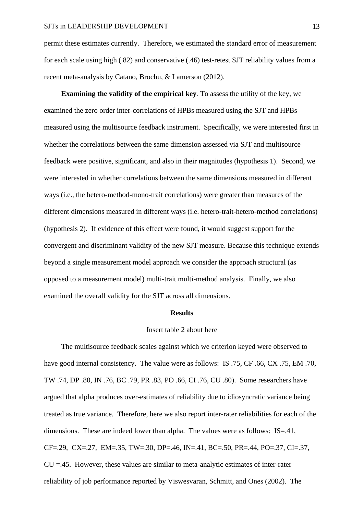permit these estimates currently. Therefore, we estimated the standard error of measurement for each scale using high (.82) and conservative (.46) test-retest SJT reliability values from a recent meta-analysis by Catano, Brochu, & Lamerson (2012).

**Examining the validity of the empirical key***.* To assess the utility of the key, we examined the zero order inter-correlations of HPBs measured using the SJT and HPBs measured using the multisource feedback instrument. Specifically, we were interested first in whether the correlations between the same dimension assessed via SJT and multisource feedback were positive, significant, and also in their magnitudes (hypothesis 1). Second, we were interested in whether correlations between the same dimensions measured in different ways (i.e., the hetero-method-mono-trait correlations) were greater than measures of the different dimensions measured in different ways (i.e. hetero-trait-hetero-method correlations) (hypothesis 2). If evidence of this effect were found, it would suggest support for the convergent and discriminant validity of the new SJT measure. Because this technique extends beyond a single measurement model approach we consider the approach structural (as opposed to a measurement model) multi-trait multi-method analysis. Finally, we also examined the overall validity for the SJT across all dimensions.

## **Results**

## Insert table 2 about here

The multisource feedback scales against which we criterion keyed were observed to have good internal consistency. The value were as follows: IS .75, CF .66, CX .75, EM .70, TW .74, DP .80, IN .76, BC .79, PR .83, PO .66, CI .76, CU .80). Some researchers have argued that alpha produces over-estimates of reliability due to idiosyncratic variance being treated as true variance. Therefore, here we also report inter-rater reliabilities for each of the dimensions. These are indeed lower than alpha. The values were as follows: IS=.41, CF=.29, CX=.27, EM=.35, TW=.30, DP=.46, IN=.41, BC=.50, PR=.44, PO=.37, CI=.37,  $CU = .45$ . However, these values are similar to meta-analytic estimates of inter-rater reliability of job performance reported by Viswesvaran, Schmitt, and Ones (2002). The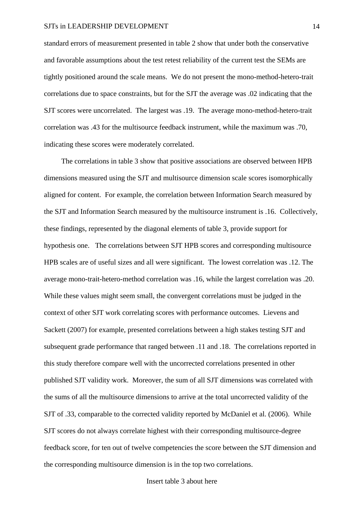standard errors of measurement presented in table 2 show that under both the conservative and favorable assumptions about the test retest reliability of the current test the SEMs are tightly positioned around the scale means. We do not present the mono-method-hetero-trait correlations due to space constraints, but for the SJT the average was .02 indicating that the SJT scores were uncorrelated. The largest was .19. The average mono-method-hetero-trait correlation was .43 for the multisource feedback instrument, while the maximum was .70, indicating these scores were moderately correlated.

The correlations in table 3 show that positive associations are observed between HPB dimensions measured using the SJT and multisource dimension scale scores isomorphically aligned for content. For example, the correlation between Information Search measured by the SJT and Information Search measured by the multisource instrument is .16. Collectively, these findings, represented by the diagonal elements of table 3, provide support for hypothesis one. The correlations between SJT HPB scores and corresponding multisource HPB scales are of useful sizes and all were significant. The lowest correlation was .12. The average mono-trait-hetero-method correlation was .16, while the largest correlation was .20. While these values might seem small, the convergent correlations must be judged in the context of other SJT work correlating scores with performance outcomes. Lievens and Sackett (2007) for example, presented correlations between a high stakes testing SJT and subsequent grade performance that ranged between .11 and .18. The correlations reported in this study therefore compare well with the uncorrected correlations presented in other published SJT validity work. Moreover, the sum of all SJT dimensions was correlated with the sums of all the multisource dimensions to arrive at the total uncorrected validity of the SJT of .33, comparable to the corrected validity reported by McDaniel et al. (2006). While SJT scores do not always correlate highest with their corresponding multisource-degree feedback score, for ten out of twelve competencies the score between the SJT dimension and the corresponding multisource dimension is in the top two correlations.

Insert table 3 about here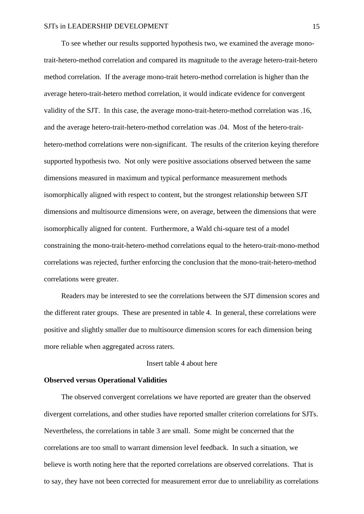To see whether our results supported hypothesis two, we examined the average monotrait-hetero-method correlation and compared its magnitude to the average hetero-trait-hetero method correlation. If the average mono-trait hetero-method correlation is higher than the average hetero-trait-hetero method correlation, it would indicate evidence for convergent validity of the SJT. In this case, the average mono-trait-hetero-method correlation was .16, and the average hetero-trait-hetero-method correlation was .04. Most of the hetero-traithetero-method correlations were non-significant. The results of the criterion keying therefore supported hypothesis two. Not only were positive associations observed between the same dimensions measured in maximum and typical performance measurement methods isomorphically aligned with respect to content, but the strongest relationship between SJT dimensions and multisource dimensions were, on average, between the dimensions that were isomorphically aligned for content. Furthermore, a Wald chi-square test of a model constraining the mono-trait-hetero-method correlations equal to the hetero-trait-mono-method correlations was rejected, further enforcing the conclusion that the mono-trait-hetero-method correlations were greater.

Readers may be interested to see the correlations between the SJT dimension scores and the different rater groups. These are presented in table 4. In general, these correlations were positive and slightly smaller due to multisource dimension scores for each dimension being more reliable when aggregated across raters.

## Insert table 4 about here

## **Observed versus Operational Validities**

The observed convergent correlations we have reported are greater than the observed divergent correlations, and other studies have reported smaller criterion correlations for SJTs. Nevertheless, the correlations in table 3 are small. Some might be concerned that the correlations are too small to warrant dimension level feedback. In such a situation, we believe is worth noting here that the reported correlations are observed correlations. That is to say, they have not been corrected for measurement error due to unreliability as correlations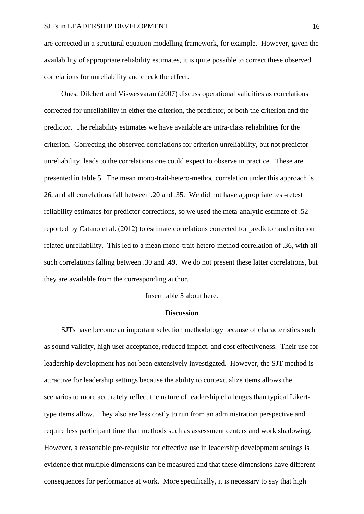#### SITs in LEADERSHIP DEVELOPMENT 16

are corrected in a structural equation modelling framework, for example. However, given the availability of appropriate reliability estimates, it is quite possible to correct these observed correlations for unreliability and check the effect.

Ones, Dilchert and Viswesvaran (2007) discuss operational validities as correlations corrected for unreliability in either the criterion, the predictor, or both the criterion and the predictor. The reliability estimates we have available are intra-class reliabilities for the criterion. Correcting the observed correlations for criterion unreliability, but not predictor unreliability, leads to the correlations one could expect to observe in practice. These are presented in table 5. The mean mono-trait-hetero-method correlation under this approach is 26, and all correlations fall between .20 and .35. We did not have appropriate test-retest reliability estimates for predictor corrections, so we used the meta-analytic estimate of .52 reported by Catano et al. (2012) to estimate correlations corrected for predictor and criterion related unreliability. This led to a mean mono-trait-hetero-method correlation of .36, with all such correlations falling between .30 and .49. We do not present these latter correlations, but they are available from the corresponding author.

Insert table 5 about here.

## **Discussion**

SJTs have become an important selection methodology because of characteristics such as sound validity, high user acceptance, reduced impact, and cost effectiveness. Their use for leadership development has not been extensively investigated. However, the SJT method is attractive for leadership settings because the ability to contextualize items allows the scenarios to more accurately reflect the nature of leadership challenges than typical Likerttype items allow. They also are less costly to run from an administration perspective and require less participant time than methods such as assessment centers and work shadowing. However, a reasonable pre-requisite for effective use in leadership development settings is evidence that multiple dimensions can be measured and that these dimensions have different consequences for performance at work. More specifically, it is necessary to say that high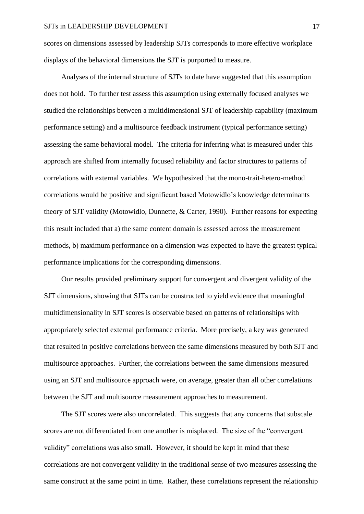scores on dimensions assessed by leadership SJTs corresponds to more effective workplace displays of the behavioral dimensions the SJT is purported to measure.

Analyses of the internal structure of SJTs to date have suggested that this assumption does not hold. To further test assess this assumption using externally focused analyses we studied the relationships between a multidimensional SJT of leadership capability (maximum performance setting) and a multisource feedback instrument (typical performance setting) assessing the same behavioral model. The criteria for inferring what is measured under this approach are shifted from internally focused reliability and factor structures to patterns of correlations with external variables. We hypothesized that the mono-trait-hetero-method correlations would be positive and significant based Motowidlo's knowledge determinants theory of SJT validity (Motowidlo, Dunnette, & Carter, 1990). Further reasons for expecting this result included that a) the same content domain is assessed across the measurement methods, b) maximum performance on a dimension was expected to have the greatest typical performance implications for the corresponding dimensions.

Our results provided preliminary support for convergent and divergent validity of the SJT dimensions, showing that SJTs can be constructed to yield evidence that meaningful multidimensionality in SJT scores is observable based on patterns of relationships with appropriately selected external performance criteria. More precisely, a key was generated that resulted in positive correlations between the same dimensions measured by both SJT and multisource approaches. Further, the correlations between the same dimensions measured using an SJT and multisource approach were, on average, greater than all other correlations between the SJT and multisource measurement approaches to measurement.

The SJT scores were also uncorrelated. This suggests that any concerns that subscale scores are not differentiated from one another is misplaced. The size of the "convergent validity" correlations was also small. However, it should be kept in mind that these correlations are not convergent validity in the traditional sense of two measures assessing the same construct at the same point in time. Rather, these correlations represent the relationship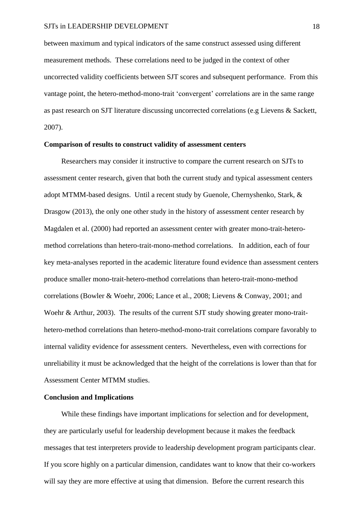## SITs in LEADERSHIP DEVELOPMENT 18

between maximum and typical indicators of the same construct assessed using different measurement methods. These correlations need to be judged in the context of other uncorrected validity coefficients between SJT scores and subsequent performance. From this vantage point, the hetero-method-mono-trait 'convergent' correlations are in the same range as past research on SJT literature discussing uncorrected correlations (e.g Lievens & Sackett, 2007).

## **Comparison of results to construct validity of assessment centers**

Researchers may consider it instructive to compare the current research on SJTs to assessment center research, given that both the current study and typical assessment centers adopt MTMM-based designs. Until a recent study by Guenole, Chernyshenko, Stark, & Drasgow (2013), the only one other study in the history of assessment center research by Magdalen et al. (2000) had reported an assessment center with greater mono-trait-heteromethod correlations than hetero-trait-mono-method correlations. In addition, each of four key meta-analyses reported in the academic literature found evidence than assessment centers produce smaller mono-trait-hetero-method correlations than hetero-trait-mono-method correlations (Bowler & Woehr, 2006; Lance et al., 2008; Lievens & Conway, 2001; and Woehr & Arthur, 2003). The results of the current SJT study showing greater mono-traithetero-method correlations than hetero-method-mono-trait correlations compare favorably to internal validity evidence for assessment centers. Nevertheless, even with corrections for unreliability it must be acknowledged that the height of the correlations is lower than that for Assessment Center MTMM studies.

## **Conclusion and Implications**

While these findings have important implications for selection and for development, they are particularly useful for leadership development because it makes the feedback messages that test interpreters provide to leadership development program participants clear. If you score highly on a particular dimension, candidates want to know that their co-workers will say they are more effective at using that dimension. Before the current research this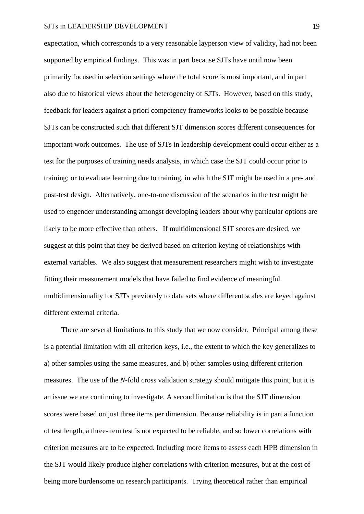## SJTs in LEADERSHIP DEVELOPMENT 19

expectation, which corresponds to a very reasonable layperson view of validity, had not been supported by empirical findings. This was in part because SJTs have until now been primarily focused in selection settings where the total score is most important, and in part also due to historical views about the heterogeneity of SJTs. However, based on this study, feedback for leaders against a priori competency frameworks looks to be possible because SJTs can be constructed such that different SJT dimension scores different consequences for important work outcomes. The use of SJTs in leadership development could occur either as a test for the purposes of training needs analysis, in which case the SJT could occur prior to training; or to evaluate learning due to training, in which the SJT might be used in a pre- and post-test design. Alternatively, one-to-one discussion of the scenarios in the test might be used to engender understanding amongst developing leaders about why particular options are likely to be more effective than others. If multidimensional SJT scores are desired, we suggest at this point that they be derived based on criterion keying of relationships with external variables. We also suggest that measurement researchers might wish to investigate fitting their measurement models that have failed to find evidence of meaningful multidimensionality for SJTs previously to data sets where different scales are keyed against different external criteria.

There are several limitations to this study that we now consider. Principal among these is a potential limitation with all criterion keys, i.e., the extent to which the key generalizes to a) other samples using the same measures, and b) other samples using different criterion measures. The use of the *N*-fold cross validation strategy should mitigate this point, but it is an issue we are continuing to investigate. A second limitation is that the SJT dimension scores were based on just three items per dimension. Because reliability is in part a function of test length, a three-item test is not expected to be reliable, and so lower correlations with criterion measures are to be expected. Including more items to assess each HPB dimension in the SJT would likely produce higher correlations with criterion measures, but at the cost of being more burdensome on research participants. Trying theoretical rather than empirical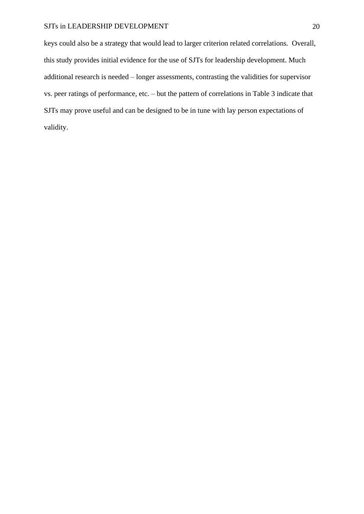## SJTs in LEADERSHIP DEVELOPMENT 20

keys could also be a strategy that would lead to larger criterion related correlations. Overall, this study provides initial evidence for the use of SJTs for leadership development. Much additional research is needed – longer assessments, contrasting the validities for supervisor vs. peer ratings of performance, etc. – but the pattern of correlations in Table 3 indicate that SJTs may prove useful and can be designed to be in tune with lay person expectations of validity.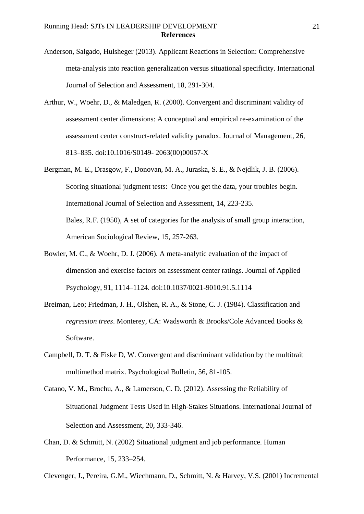- Anderson, Salgado, Hulsheger (2013). Applicant Reactions in Selection: Comprehensive meta-analysis into reaction generalization versus situational specificity. International Journal of Selection and Assessment, 18, 291-304.
- Arthur, W., Woehr, D., & Maledgen, R. (2000). Convergent and discriminant validity of assessment center dimensions: A conceptual and empirical re-examination of the assessment center construct-related validity paradox. Journal of Management, 26, 813–835. doi:10.1016/S0149- 2063(00)00057-X
- Bergman, M. E., Drasgow, F., Donovan, M. A., Juraska, S. E., & Nejdlik, J. B. (2006). Scoring situational judgment tests: Once you get the data, your troubles begin. International Journal of Selection and Assessment, 14, 223-235. Bales, R.F. (1950), A set of categories for the analysis of small group interaction, American Sociological Review, 15, 257-263.
- Bowler, M. C., & Woehr, D. J. (2006). A meta-analytic evaluation of the impact of dimension and exercise factors on assessment center ratings. Journal of Applied Psychology, 91, 1114–1124. doi:10.1037/0021-9010.91.5.1114
- Breiman, Leo; Friedman, J. H., Olshen, R. A., & Stone, C. J. (1984). Classification and *regression trees*. Monterey, CA: Wadsworth & Brooks/Cole Advanced Books & Software.
- Campbell, D. T. & Fiske D, W. Convergent and discriminant validation by the multitrait multimethod matrix. Psychological Bulletin, 56, 81-105.
- Catano, V. M., Brochu, A., & Lamerson, C. D. (2012). Assessing the Reliability of Situational Judgment Tests Used in High‐Stakes Situations. International Journal of Selection and Assessment, 20, 333-346.
- Chan, D. & Schmitt, N. (2002) Situational judgment and job performance. Human Performance, 15, 233–254.
- Clevenger, J., Pereira, G.M., Wiechmann, D., Schmitt, N. & Harvey, V.S. (2001) Incremental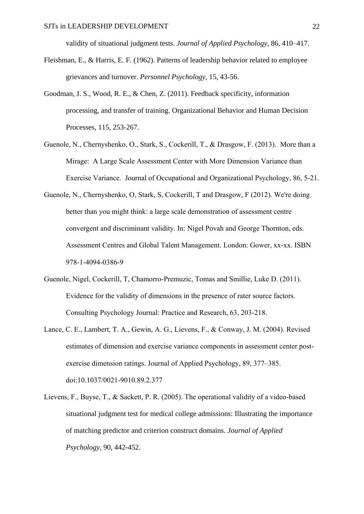validity of situational judgment tests. *Journal of Applied Psychology*, 86, 410–417.

- Fleishman, E., & Harris, E. F. (1962). Patterns of leadership behavior related to employee grievances and turnover. *Personnel Psychology*, 15, 43-56.
- Goodman, J. S., Wood, R. E., & Chen, Z. (2011). Feedback specificity, information processing, and transfer of training. Organizational Behavior and Human Decision Processes, 115, 253-267.
- Guenole, N., Chernyshenko, O., Stark, S., Cockerill, T., & Drasgow, F. (2013). More than a Mirage: A Large Scale Assessment Center with More Dimension Variance than Exercise Variance. Journal of Occupational and Organizational Psychology, 86, 5-21.
- Guenole, N., Chernyshenko, O, Stark, S, Cockerill, T and Drasgow, F (2012). We're doing better than you might think: a large scale demonstration of assessment centre convergent and discriminant validity. In: Nigel Povah and George Thornton, eds. Assessment Centres and Global Talent Management. London: Gower, xx-xx. ISBN 978-1-4094-0386-9
- Guenole, Nigel, Cockerill, T, Chamorro-Premuzic, Tomas and Smillie, Luke D. (2011). Evidence for the validity of dimensions in the presence of rater source factors. Consulting Psychology Journal: Practice and Research, 63, 203-218.
- Lance, C. E., Lambert, T. A., Gewin, A. G., Lievens, F., & Conway, J. M. (2004). Revised estimates of dimension and exercise variance components in assessment center postexercise dimension ratings. Journal of Applied Psychology, 89, 377–385. doi:10.1037/0021-9010.89.2.377
- Lievens, F., Buyse, T., & Sackett, P. R. (2005). The operational validity of a video-based situational judgment test for medical college admissions: Illustrating the importance of matching predictor and criterion construct domains. *Journal of Applied Psychology*, 90, 442-452.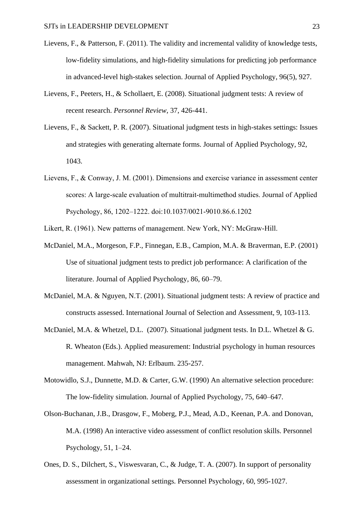- Lievens, F., & Patterson, F. (2011). The validity and incremental validity of knowledge tests, low-fidelity simulations, and high-fidelity simulations for predicting job performance in advanced-level high-stakes selection. Journal of Applied Psychology, 96(5), 927.
- Lievens, F., Peeters, H., & Schollaert, E. (2008). Situational judgment tests: A review of recent research. *Personnel Review*, 37, 426-441.
- Lievens, F., & Sackett, P. R. (2007). Situational judgment tests in high-stakes settings: Issues and strategies with generating alternate forms. Journal of Applied Psychology, 92, 1043.
- Lievens, F., & Conway, J. M. (2001). Dimensions and exercise variance in assessment center scores: A large-scale evaluation of multitrait-multimethod studies. Journal of Applied Psychology, 86, 1202–1222. doi:10.1037/0021-9010.86.6.1202
- Likert, R. (1961). New patterns of management. New York, NY: McGraw-Hill.
- McDaniel, M.A., Morgeson, F.P., Finnegan, E.B., Campion, M.A. & Braverman, E.P. (2001) Use of situational judgment tests to predict job performance: A clarification of the literature. Journal of Applied Psychology, 86, 60–79.
- McDaniel, M.A. & Nguyen, N.T. (2001). Situational judgment tests: A review of practice and constructs assessed. International Journal of Selection and Assessment, 9, 103-113.
- McDaniel, M.A. & Whetzel, D.L. (2007). Situational judgment tests. In D.L. Whetzel & G. R. Wheaton (Eds.). Applied measurement: Industrial psychology in human resources management. Mahwah, NJ: Erlbaum. 235-257.
- Motowidlo, S.J., Dunnette, M.D. & Carter, G.W. (1990) An alternative selection procedure: The low-fidelity simulation. Journal of Applied Psychology, 75, 640–647.
- Olson-Buchanan, J.B., Drasgow, F., Moberg, P.J., Mead, A.D., Keenan, P.A. and Donovan, M.A. (1998) An interactive video assessment of conflict resolution skills. Personnel Psychology, 51, 1–24.
- Ones, D. S., Dilchert, S., Viswesvaran, C., & Judge, T. A. (2007). In support of personality assessment in organizational settings. Personnel Psychology, 60, 995-1027.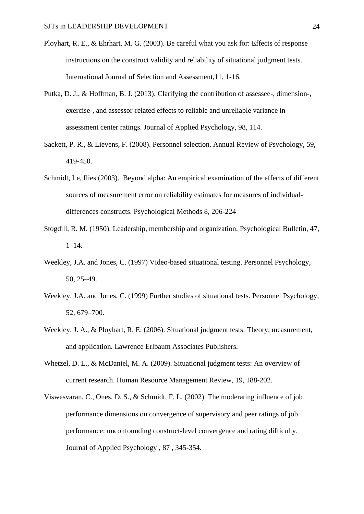- Ployhart, R. E., & Ehrhart, M. G. (2003). Be careful what you ask for: Effects of response instructions on the construct validity and reliability of situational judgment tests. International Journal of Selection and Assessment,11, 1-16.
- Putka, D. J., & Hoffman, B. J. (2013). Clarifying the contribution of assessee-, dimension-, exercise-, and assessor-related effects to reliable and unreliable variance in assessment center ratings. Journal of Applied Psychology, 98, 114.
- Sackett, P. R., & Lievens, F. (2008). Personnel selection. Annual Review of Psychology, 59, 419-450.
- Schmidt, Le, Ilies (2003). Beyond alpha: An empirical examination of the effects of different sources of measurement error on reliability estimates for measures of individualdifferences constructs. Psychological Methods 8, 206-224
- Stogdill, R. M. (1950). Leadership, membership and organization. Psychological Bulletin, 47, 1–14.
- Weekley, J.A. and Jones, C. (1997) Video-based situational testing. Personnel Psychology, 50, 25–49.
- Weekley, J.A. and Jones, C. (1999) Further studies of situational tests. Personnel Psychology, 52, 679–700.
- Weekley, J. A., & Ployhart, R. E. (2006). Situational judgment tests: Theory, measurement, and application. Lawrence Erlbaum Associates Publishers.
- Whetzel, D. L., & McDaniel, M. A. (2009). Situational judgment tests: An overview of current research. Human Resource Management Review, 19, 188-202.
- Viswesvaran, C., Ones, D. S., & Schmidt, F. L. (2002). The moderating influence of job performance dimensions on convergence of supervisory and peer ratings of job performance: unconfounding construct-level convergence and rating difficulty. Journal of Applied Psychology , 87 , 345-354.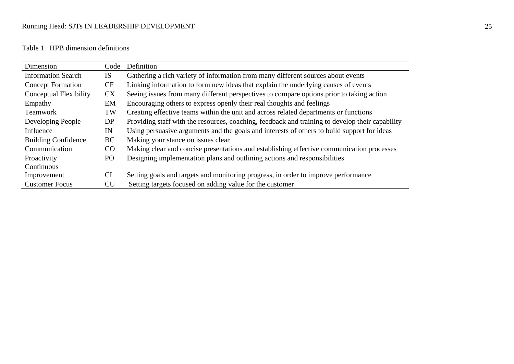| Dimension                  | Code      | Definition                                                                                      |
|----------------------------|-----------|-------------------------------------------------------------------------------------------------|
| <b>Information Search</b>  | IS        | Gathering a rich variety of information from many different sources about events                |
| <b>Concept Formation</b>   | CF        | Linking information to form new ideas that explain the underlying causes of events              |
| Conceptual Flexibility     | <b>CX</b> | Seeing issues from many different perspectives to compare options prior to taking action        |
| Empathy                    | EM        | Encouraging others to express openly their real thoughts and feelings                           |
| <b>Teamwork</b>            | TW        | Creating effective teams within the unit and across related departments or functions            |
| Developing People          | DP        | Providing staff with the resources, coaching, feedback and training to develop their capability |
| Influence                  | IN        | Using persuasive arguments and the goals and interests of others to build support for ideas     |
| <b>Building Confidence</b> | <b>BC</b> | Making your stance on issues clear                                                              |
| Communication              | CO        | Making clear and concise presentations and establishing effective communication processes       |
| Proactivity                | PO        | Designing implementation plans and outlining actions and responsibilities                       |
| Continuous                 |           |                                                                                                 |
| Improvement                | <b>CI</b> | Setting goals and targets and monitoring progress, in order to improve performance              |
| <b>Customer Focus</b>      | CU        | Setting targets focused on adding value for the customer                                        |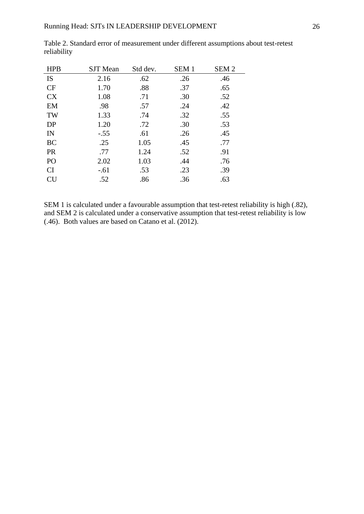| <b>HPB</b> | <b>SJT</b> Mean | Std dev. | SEM <sub>1</sub> | SEM <sub>2</sub> |
|------------|-----------------|----------|------------------|------------------|
| <b>IS</b>  | 2.16            | .62      | .26              | .46              |
| <b>CF</b>  | 1.70            | .88      | .37              | .65              |
| <b>CX</b>  | 1.08            | .71      | .30              | .52              |
| EM         | .98             | .57      | .24              | .42              |
| TW         | 1.33            | .74      | .32              | .55              |
| DP         | 1.20            | .72      | .30              | .53              |
| IN         | $-.55$          | .61      | .26              | .45              |
| <b>BC</b>  | .25             | 1.05     | .45              | .77              |
| <b>PR</b>  | .77             | 1.24     | .52              | .91              |
| PO         | 2.02            | 1.03     | .44              | .76              |
| <b>CI</b>  | $-.61$          | .53      | .23              | .39              |
| <b>CU</b>  | .52             | .86      | .36              | .63              |

Table 2. Standard error of measurement under different assumptions about test-retest reliability

SEM 1 is calculated under a favourable assumption that test-retest reliability is high (.82), and SEM 2 is calculated under a conservative assumption that test-retest reliability is low (.46). Both values are based on Catano et al. (2012).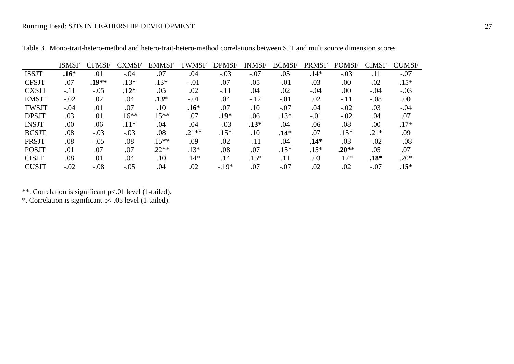|              | <b>ISMSF</b> | <b>CFMSF</b> | <b>CXMSF</b> | <b>EMMSF</b> | TWMSF   | <b>DPMSF</b> | <b>INMSF</b> | <b>BCMSF</b> | <b>PRMSF</b> | <b>POMSF</b> | <b>CIMSF</b> | <b>CUMSF</b> |
|--------------|--------------|--------------|--------------|--------------|---------|--------------|--------------|--------------|--------------|--------------|--------------|--------------|
| <b>ISSJT</b> | $.16*$       | .01          | $-.04$       | .07          | .04     | $-.03$       | $-.07$       | .05          | $.14*$       | $-.03$       | .11          | $-.07$       |
| <b>CFSJT</b> | .07          | $.19**$      | $.13*$       | $.13*$       | $-.01$  | .07          | .05          | $-.01$       | .03          | .00          | .02          | $.15*$       |
| <b>CXSJT</b> | $-.11$       | $-.05$       | $.12*$       | .05          | .02     | $-.11$       | .04          | .02          | $-.04$       | .00.         | $-.04$       | $-.03$       |
| <b>EMSJT</b> | $-.02$       | .02          | .04          | $.13*$       | $-.01$  | .04          | $-.12$       | $-.01$       | .02          | -.11         | $-.08$       | .00          |
| <b>TWSJT</b> | $-.04$       | .01          | .07          | .10          | $.16*$  | .07          | .10          | $-.07$       | .04          | $-.02$       | .03          | $-.04$       |
| <b>DPSJT</b> | .03          | .01          | $.16**$      | $.15***$     | .07     | $.19*$       | .06          | $.13*$       | $-.01$       | $-.02$       | .04          | .07          |
| <b>INSJT</b> | .00          | .06          | $.11*$       | .04          | .04     | $-.03$       | $.13*$       | .04          | .06          | .08          | .00          | $.17*$       |
| <b>BCSJT</b> | .08          | $-.03$       | $-.03$       | .08          | $.21**$ | $.15*$       | .10          | $.14*$       | .07          | $.15*$       | $.21*$       | .09          |
| <b>PRSJT</b> | .08          | $-.05$       | .08          | $.15***$     | .09     | .02          | $-.11$       | .04          | $.14*$       | .03          | $-.02$       | $-.08$       |
| <b>POSJT</b> | .01          | .07          | .07          | $.22**$      | $.13*$  | .08          | .07          | $.15*$       | $.15*$       | $.20**$      | .05          | .07          |
| <b>CISJT</b> | .08          | .01          | .04          | .10          | $.14*$  | .14          | $.15*$       | .11          | .03          | $.17*$       | $.18*$       | $.20*$       |
| <b>CUSJT</b> | $-.02$       | $-.08$       | $-.05$       | .04          | .02     | $-.19*$      | .07          | $-.07$       | .02          | .02          | $-.07$       | $.15*$       |

Table 3. Mono-trait-hetero-method and hetero-trait-hetero-method correlations between SJT and multisource dimension scores

\*\*. Correlation is significant p<.01 level (1-tailed).

\*. Correlation is significant p< .05 level (1-tailed).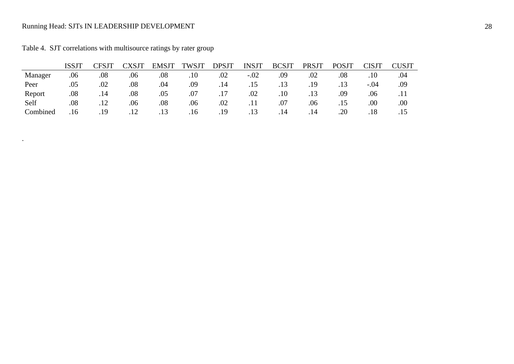# Running Head: SJTs IN LEADERSHIP DEVELOPMENT 28

.

|          | <b>ISSJT</b> |     |         | <b>EMSJT</b> | TWSJT | <b>DPSJT</b> | <b>INSJT</b> | <b>BCSJT</b> | <b>PRSJT</b> | <b>POSJT</b> | CISJT   | CUSJT |
|----------|--------------|-----|---------|--------------|-------|--------------|--------------|--------------|--------------|--------------|---------|-------|
| Manager  | .06          | .08 | .06     | .08          | .10   | .02          | $-.02$       | .09          | .02          | .08          | $.10\,$ | .04   |
| Peer     | .05          | .02 | .08     | .04          | .09   | .14          | .15          | .13          | .19          | .13          | $-.04$  | .09   |
| Report   | .08          | .14 | $.08\,$ | .05          | .07   | .17          | .02          | $.10\,$      | .13          | .09          | .06     | .11   |
| Self     | .08          | .12 | .06     | .08          | .06   | .02          | . 11         | .07          | .06          | .15          | .00     | .00   |
| Combined | .16          | .19 |         | .13          | .16   | .19          |              | .14          | .14          | .20          | .18     | .15   |

Table 4. SJT correlations with multisource ratings by rater group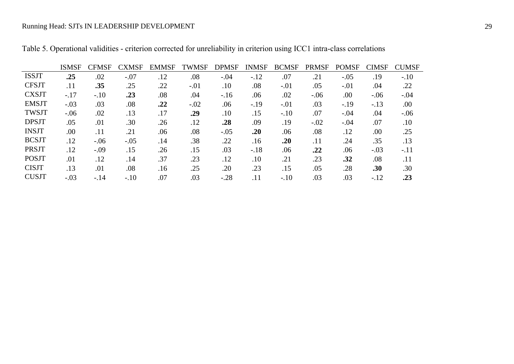# Running Head: SJTs IN LEADERSHIP DEVELOPMENT 29

|              | <b>ISMSF</b> | CFMSF  | <b>CXMSF</b> | <b>EMMSF</b> | TWMSF  | <b>DPMSF</b> | <b>INMSF</b> | <b>BCMSF</b> | <b>PRMSF</b> | <b>POMSF</b> | CIMSF  | <b>CUMSF</b> |
|--------------|--------------|--------|--------------|--------------|--------|--------------|--------------|--------------|--------------|--------------|--------|--------------|
| <b>ISSJT</b> | .25          | .02    | $-.07$       | .12          | .08    | $-.04$       | $-.12$       | .07          | .21          | $-.05$       | .19    | $-.10$       |
| <b>CFSJT</b> | .11          | .35    | .25          | .22          | $-.01$ | .10          | .08          | $-.01$       | .05          | $-.01$       | .04    | .22          |
| <b>CXSJT</b> | $-.17$       | $-.10$ | .23          | .08          | .04    | $-16$        | .06          | .02          | $-.06$       | .00          | $-.06$ | $-.04$       |
| <b>EMSJT</b> | $-.03$       | .03    | .08          | .22          | $-.02$ | .06          | $-19$        | $-.01$       | .03          | $-.19$       | $-.13$ | .00          |
| TWSJT        | $-.06$       | .02    | .13          | .17          | .29    | .10          | .15          | $-.10$       | .07          | $-.04$       | .04    | $-.06$       |
| <b>DPSJT</b> | .05          | .01    | .30          | .26          | .12    | .28          | .09          | .19          | $-.02$       | $-.04$       | .07    | .10          |
| <b>INSJT</b> | .00          | .11    | .21          | .06          | .08    | $-.05$       | .20          | .06          | .08          | .12          | .00    | .25          |
| <b>BCSJT</b> | .12          | $-.06$ | $-.05$       | .14          | .38    | .22          | .16          | .20          | .11          | .24          | .35    | .13          |
| <b>PRSJT</b> | .12          | $-.09$ | .15          | .26          | .15    | .03          | $-.18$       | .06          | .22          | .06          | $-.03$ | $-.11$       |
| <b>POSJT</b> | .01          | .12    | .14          | .37          | .23    | .12          | .10          | .21          | .23          | .32          | .08    | .11          |
| <b>CISJT</b> | .13          | .01    | .08          | .16          | .25    | .20          | .23          | .15          | .05          | .28          | .30    | .30          |
| <b>CUSJT</b> | $-.03$       | $-.14$ | $-.10$       | .07          | .03    | $-.28$       | .11          | $-.10$       | .03          | .03          | $-.12$ | .23          |

Table 5. Operational validities - criterion corrected for unreliability in criterion using ICC1 intra-class correlations